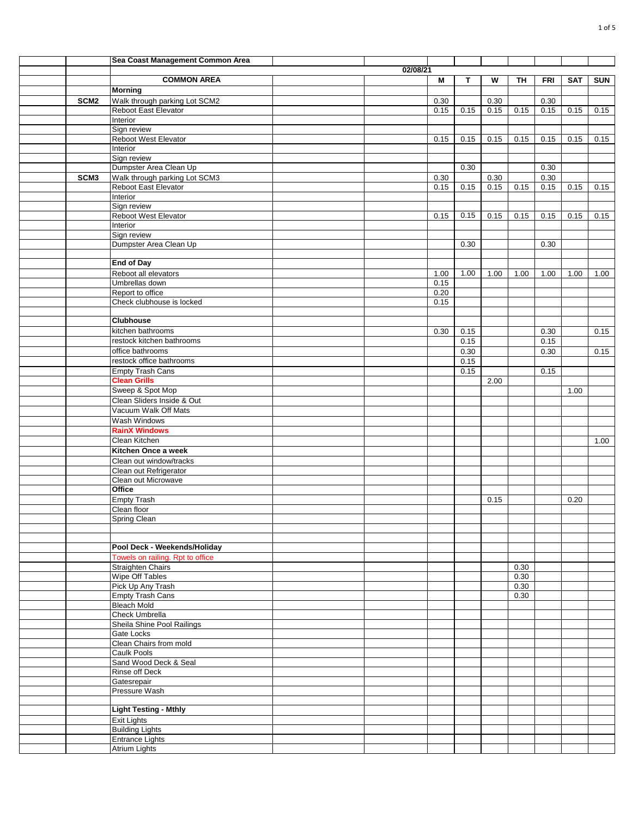|                  | Sea Coast Management Common Area               |          |      |      |      |      |            |            |            |
|------------------|------------------------------------------------|----------|------|------|------|------|------------|------------|------------|
|                  |                                                | 02/08/21 |      |      |      |      |            |            |            |
|                  | <b>COMMON AREA</b>                             |          | М    | T    | W    | TH   | <b>FRI</b> | <b>SAT</b> | <b>SUN</b> |
|                  | <b>Morning</b>                                 |          |      |      |      |      |            |            |            |
| SCM <sub>2</sub> | Walk through parking Lot SCM2                  |          | 0.30 |      | 0.30 |      | 0.30       |            |            |
|                  | Reboot East Elevator                           |          | 0.15 | 0.15 | 0.15 | 0.15 | 0.15       | 0.15       | 0.15       |
|                  | Interior                                       |          |      |      |      |      |            |            |            |
|                  | Sign review                                    |          |      |      |      |      |            |            |            |
|                  | Reboot West Elevator<br>Interior               |          | 0.15 | 0.15 | 0.15 | 0.15 | 0.15       | 0.15       | 0.15       |
|                  | Sign review                                    |          |      |      |      |      |            |            |            |
|                  | Dumpster Area Clean Up                         |          |      | 0.30 |      |      | 0.30       |            |            |
| SCM <sub>3</sub> | Walk through parking Lot SCM3                  |          | 0.30 |      | 0.30 |      | $0.30\,$   |            |            |
|                  | Reboot East Elevator                           |          | 0.15 | 0.15 | 0.15 | 0.15 | 0.15       | 0.15       | 0.15       |
|                  | Interior                                       |          |      |      |      |      |            |            |            |
|                  | Sign review                                    |          |      |      |      |      |            |            |            |
|                  | Reboot West Elevator                           |          | 0.15 | 0.15 | 0.15 | 0.15 | 0.15       | 0.15       | 0.15       |
|                  | Interior                                       |          |      |      |      |      |            |            |            |
|                  | Sign review                                    |          |      |      |      |      |            |            |            |
|                  | Dumpster Area Clean Up                         |          |      | 0.30 |      |      | 0.30       |            |            |
|                  | <b>End of Day</b>                              |          |      |      |      |      |            |            |            |
|                  | Reboot all elevators                           |          | 1.00 | 1.00 | 1.00 | 1.00 | 1.00       | 1.00       | 1.00       |
|                  | Umbrellas down                                 |          | 0.15 |      |      |      |            |            |            |
|                  | Report to office                               |          | 0.20 |      |      |      |            |            |            |
|                  | Check clubhouse is locked                      |          | 0.15 |      |      |      |            |            |            |
|                  |                                                |          |      |      |      |      |            |            |            |
|                  | <b>Clubhouse</b>                               |          |      |      |      |      |            |            |            |
|                  | kitchen bathrooms                              |          | 0.30 | 0.15 |      |      | 0.30       |            | 0.15       |
|                  | restock kitchen bathrooms                      |          |      | 0.15 |      |      | 0.15       |            |            |
|                  | office bathrooms                               |          |      | 0.30 |      |      | 0.30       |            | 0.15       |
|                  | restock office bathrooms                       |          |      | 0.15 |      |      |            |            |            |
|                  | <b>Empty Trash Cans</b>                        |          |      | 0.15 |      |      | 0.15       |            |            |
|                  | <b>Clean Grills</b>                            |          |      |      | 2.00 |      |            |            |            |
|                  | Sweep & Spot Mop<br>Clean Sliders Inside & Out |          |      |      |      |      |            | 1.00       |            |
|                  | Vacuum Walk Off Mats                           |          |      |      |      |      |            |            |            |
|                  | Wash Windows                                   |          |      |      |      |      |            |            |            |
|                  | <b>RainX Windows</b>                           |          |      |      |      |      |            |            |            |
|                  | Clean Kitchen                                  |          |      |      |      |      |            |            | 1.00       |
|                  | Kitchen Once a week                            |          |      |      |      |      |            |            |            |
|                  | Clean out window/tracks                        |          |      |      |      |      |            |            |            |
|                  | Clean out Refrigerator                         |          |      |      |      |      |            |            |            |
|                  | Clean out Microwave                            |          |      |      |      |      |            |            |            |
|                  | Office                                         |          |      |      |      |      |            |            |            |
|                  | <b>Empty Trash</b>                             |          |      |      | 0.15 |      |            | 0.20       |            |
|                  | Clean floor                                    |          |      |      |      |      |            |            |            |
|                  | Spring Clean                                   |          |      |      |      |      |            |            |            |
|                  |                                                |          |      |      |      |      |            |            |            |
|                  | Pool Deck - Weekends/Holiday                   |          |      |      |      |      |            |            |            |
|                  | Towels on railing. Rpt to office               |          |      |      |      |      |            |            |            |
|                  | <b>Straighten Chairs</b>                       |          |      |      |      | 0.30 |            |            |            |
|                  | Wipe Off Tables                                |          |      |      |      | 0.30 |            |            |            |
|                  | Pick Up Any Trash                              |          |      |      |      | 0.30 |            |            |            |
|                  | <b>Empty Trash Cans</b>                        |          |      |      |      | 0.30 |            |            |            |
|                  | <b>Bleach Mold</b>                             |          |      |      |      |      |            |            |            |
|                  | Check Umbrella                                 |          |      |      |      |      |            |            |            |
|                  | Sheila Shine Pool Railings                     |          |      |      |      |      |            |            |            |
|                  | Gate Locks                                     |          |      |      |      |      |            |            |            |
|                  | Clean Chairs from mold                         |          |      |      |      |      |            |            |            |
|                  | Caulk Pools<br>Sand Wood Deck & Seal           |          |      |      |      |      |            |            |            |
|                  | Rinse off Deck                                 |          |      |      |      |      |            |            |            |
|                  | Gatesrepair                                    |          |      |      |      |      |            |            |            |
|                  | Pressure Wash                                  |          |      |      |      |      |            |            |            |
|                  |                                                |          |      |      |      |      |            |            |            |
|                  | <b>Light Testing - Mthly</b>                   |          |      |      |      |      |            |            |            |
|                  | <b>Exit Lights</b>                             |          |      |      |      |      |            |            |            |
|                  | <b>Building Lights</b>                         |          |      |      |      |      |            |            |            |
|                  | <b>Entrance Lights</b>                         |          |      |      |      |      |            |            |            |
|                  | <b>Atrium Lights</b>                           |          |      |      |      |      |            |            |            |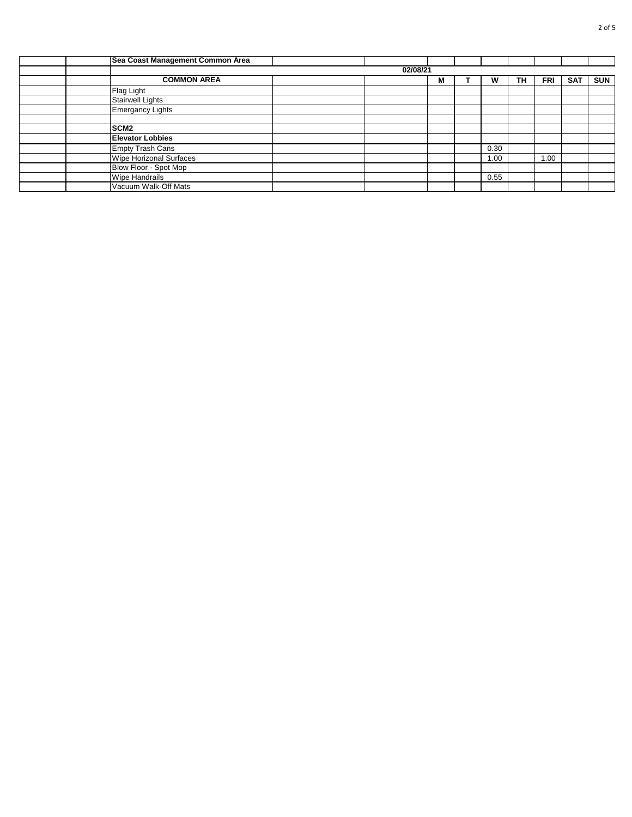| Sea Coast Management Common Area |          |   |      |    |            |            |            |
|----------------------------------|----------|---|------|----|------------|------------|------------|
|                                  | 02/08/21 |   |      |    |            |            |            |
| <b>COMMON AREA</b>               |          | М | w    | TH | <b>FRI</b> | <b>SAT</b> | <b>SUN</b> |
| Flag Light                       |          |   |      |    |            |            |            |
| <b>Stairwell Lights</b>          |          |   |      |    |            |            |            |
| <b>Emergancy Lights</b>          |          |   |      |    |            |            |            |
|                                  |          |   |      |    |            |            |            |
| SCM <sub>2</sub>                 |          |   |      |    |            |            |            |
| <b>Elevator Lobbies</b>          |          |   |      |    |            |            |            |
| <b>Empty Trash Cans</b>          |          |   | 0.30 |    |            |            |            |
| Wipe Horizonal Surfaces          |          |   | 1.00 |    | 1.00       |            |            |
| Blow Floor - Spot Mop            |          |   |      |    |            |            |            |
| <b>Wipe Handrails</b>            |          |   | 0.55 |    |            |            |            |
| Vacuum Walk-Off Mats             |          |   |      |    |            |            |            |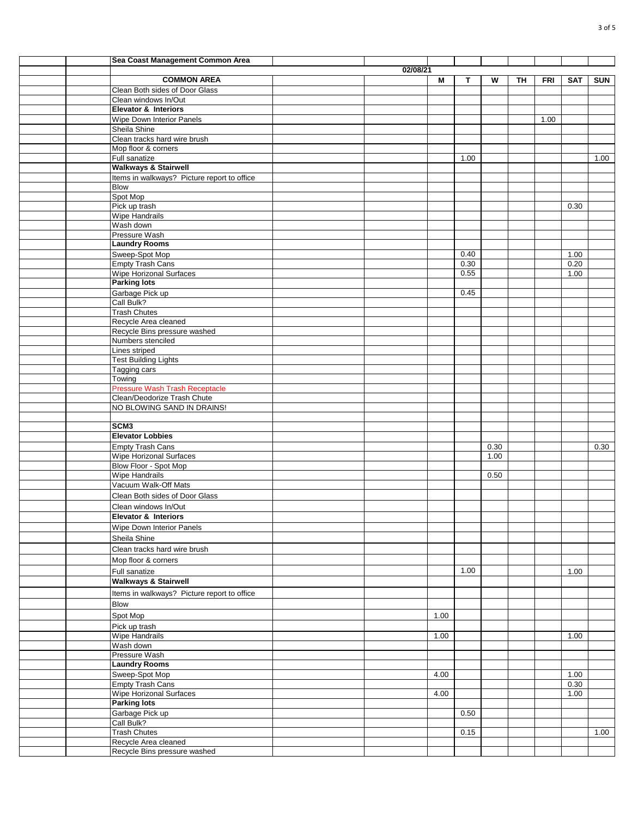|  | Sea Coast Management Common Area                    |          |      |      |      |    |            |            |            |
|--|-----------------------------------------------------|----------|------|------|------|----|------------|------------|------------|
|  |                                                     | 02/08/21 |      |      |      |    |            |            |            |
|  | <b>COMMON AREA</b>                                  |          | М    | т    | W    | TH | <b>FRI</b> | <b>SAT</b> | <b>SUN</b> |
|  | Clean Both sides of Door Glass                      |          |      |      |      |    |            |            |            |
|  | Clean windows In/Out                                |          |      |      |      |    |            |            |            |
|  | <b>Elevator &amp; Interiors</b>                     |          |      |      |      |    |            |            |            |
|  | Wipe Down Interior Panels                           |          |      |      |      |    | 1.00       |            |            |
|  | Sheila Shine                                        |          |      |      |      |    |            |            |            |
|  | Clean tracks hard wire brush<br>Mop floor & corners |          |      |      |      |    |            |            |            |
|  | Full sanatize                                       |          |      | 1.00 |      |    |            |            | 1.00       |
|  | <b>Walkways &amp; Stairwell</b>                     |          |      |      |      |    |            |            |            |
|  | Items in walkways? Picture report to office         |          |      |      |      |    |            |            |            |
|  | Blow                                                |          |      |      |      |    |            |            |            |
|  | Spot Mop                                            |          |      |      |      |    |            |            |            |
|  | Pick up trash                                       |          |      |      |      |    |            | 0.30       |            |
|  | Wipe Handrails                                      |          |      |      |      |    |            |            |            |
|  | Wash down                                           |          |      |      |      |    |            |            |            |
|  | Pressure Wash                                       |          |      |      |      |    |            |            |            |
|  | <b>Laundry Rooms</b>                                |          |      |      |      |    |            |            |            |
|  | Sweep-Spot Mop                                      |          |      | 0.40 |      |    |            | 1.00       |            |
|  | <b>Empty Trash Cans</b>                             |          |      | 0.30 |      |    |            | 0.20       |            |
|  | Wipe Horizonal Surfaces<br><b>Parking lots</b>      |          |      | 0.55 |      |    |            | 1.00       |            |
|  | Garbage Pick up                                     |          |      | 0.45 |      |    |            |            |            |
|  | Call Bulk?                                          |          |      |      |      |    |            |            |            |
|  | <b>Trash Chutes</b>                                 |          |      |      |      |    |            |            |            |
|  | Recycle Area cleaned                                |          |      |      |      |    |            |            |            |
|  | Recycle Bins pressure washed                        |          |      |      |      |    |            |            |            |
|  | Numbers stenciled                                   |          |      |      |      |    |            |            |            |
|  | Lines striped                                       |          |      |      |      |    |            |            |            |
|  | <b>Test Building Lights</b>                         |          |      |      |      |    |            |            |            |
|  | Tagging cars                                        |          |      |      |      |    |            |            |            |
|  | Towing                                              |          |      |      |      |    |            |            |            |
|  | <b>Pressure Wash Trash Receptacle</b>               |          |      |      |      |    |            |            |            |
|  | Clean/Deodorize Trash Chute                         |          |      |      |      |    |            |            |            |
|  | NO BLOWING SAND IN DRAINS!                          |          |      |      |      |    |            |            |            |
|  | SCM <sub>3</sub>                                    |          |      |      |      |    |            |            |            |
|  | <b>Elevator Lobbies</b>                             |          |      |      |      |    |            |            |            |
|  | Empty Trash Cans                                    |          |      |      | 0.30 |    |            |            | 0.30       |
|  | Wipe Horizonal Surfaces                             |          |      |      | 1.00 |    |            |            |            |
|  | Blow Floor - Spot Mop                               |          |      |      |      |    |            |            |            |
|  | <b>Wipe Handrails</b>                               |          |      |      | 0.50 |    |            |            |            |
|  | Vacuum Walk-Off Mats                                |          |      |      |      |    |            |            |            |
|  | Clean Both sides of Door Glass                      |          |      |      |      |    |            |            |            |
|  | Clean windows In/Out                                |          |      |      |      |    |            |            |            |
|  | Elevator & Interiors                                |          |      |      |      |    |            |            |            |
|  | Wipe Down Interior Panels                           |          |      |      |      |    |            |            |            |
|  | Sheila Shine                                        |          |      |      |      |    |            |            |            |
|  | Clean tracks hard wire brush                        |          |      |      |      |    |            |            |            |
|  | Mop floor & corners                                 |          |      |      |      |    |            |            |            |
|  | Full sanatize                                       |          |      | 1.00 |      |    |            | 1.00       |            |
|  | <b>Walkways &amp; Stairwell</b>                     |          |      |      |      |    |            |            |            |
|  | Items in walkways? Picture report to office         |          |      |      |      |    |            |            |            |
|  |                                                     |          |      |      |      |    |            |            |            |
|  | <b>Blow</b>                                         |          |      |      |      |    |            |            |            |
|  | Spot Mop                                            |          | 1.00 |      |      |    |            |            |            |
|  | Pick up trash                                       |          |      |      |      |    |            |            |            |
|  | <b>Wipe Handrails</b>                               |          | 1.00 |      |      |    |            | 1.00       |            |
|  | Wash down                                           |          |      |      |      |    |            |            |            |
|  | Pressure Wash<br><b>Laundry Rooms</b>               |          |      |      |      |    |            |            |            |
|  | Sweep-Spot Mop                                      |          | 4.00 |      |      |    |            | 1.00       |            |
|  | <b>Empty Trash Cans</b>                             |          |      |      |      |    |            | 0.30       |            |
|  | Wipe Horizonal Surfaces                             |          | 4.00 |      |      |    |            | 1.00       |            |
|  | <b>Parking lots</b>                                 |          |      |      |      |    |            |            |            |
|  | Garbage Pick up                                     |          |      | 0.50 |      |    |            |            |            |
|  | Call Bulk?                                          |          |      |      |      |    |            |            |            |
|  | <b>Trash Chutes</b>                                 |          |      | 0.15 |      |    |            |            | 1.00       |
|  | Recycle Area cleaned                                |          |      |      |      |    |            |            |            |
|  | Recycle Bins pressure washed                        |          |      |      |      |    |            |            |            |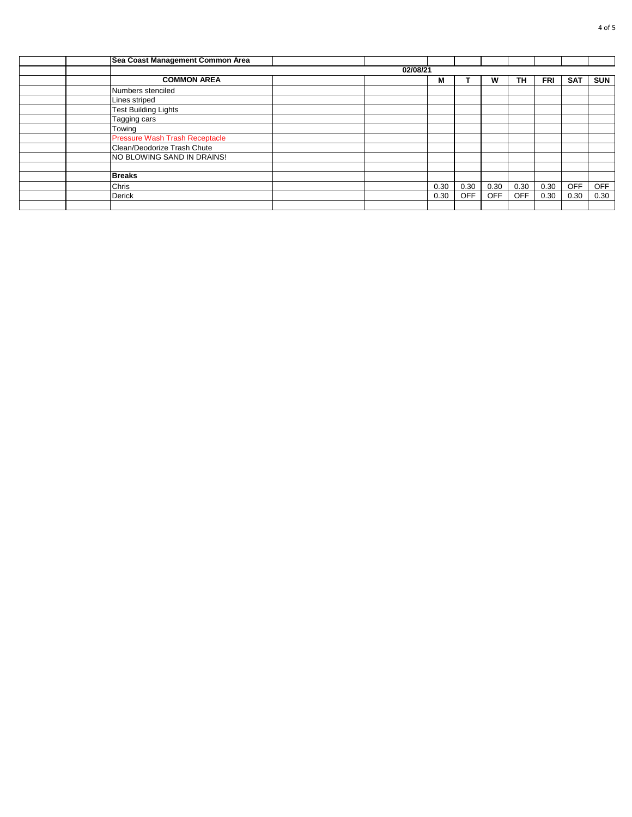| Sea Coast Management Common Area      |          |      |            |            |            |            |            |            |
|---------------------------------------|----------|------|------------|------------|------------|------------|------------|------------|
|                                       | 02/08/21 |      |            |            |            |            |            |            |
| <b>COMMON AREA</b>                    |          | M    |            | w          | TН         | <b>FRI</b> | <b>SAT</b> | <b>SUN</b> |
| Numbers stenciled                     |          |      |            |            |            |            |            |            |
| Lines striped                         |          |      |            |            |            |            |            |            |
| <b>Test Building Lights</b>           |          |      |            |            |            |            |            |            |
| Tagging cars                          |          |      |            |            |            |            |            |            |
| Towing                                |          |      |            |            |            |            |            |            |
| <b>Pressure Wash Trash Receptacle</b> |          |      |            |            |            |            |            |            |
| Clean/Deodorize Trash Chute           |          |      |            |            |            |            |            |            |
| NO BLOWING SAND IN DRAINS!            |          |      |            |            |            |            |            |            |
|                                       |          |      |            |            |            |            |            |            |
| <b>Breaks</b>                         |          |      |            |            |            |            |            |            |
| Chris                                 |          | 0.30 | 0.30       | 0.30       | 0.30       | 0.30       | <b>OFF</b> | <b>OFF</b> |
| <b>Derick</b>                         |          | 0.30 | <b>OFF</b> | <b>OFF</b> | <b>OFF</b> | 0.30       | 0.30       | 0.30       |
|                                       |          |      |            |            |            |            |            |            |